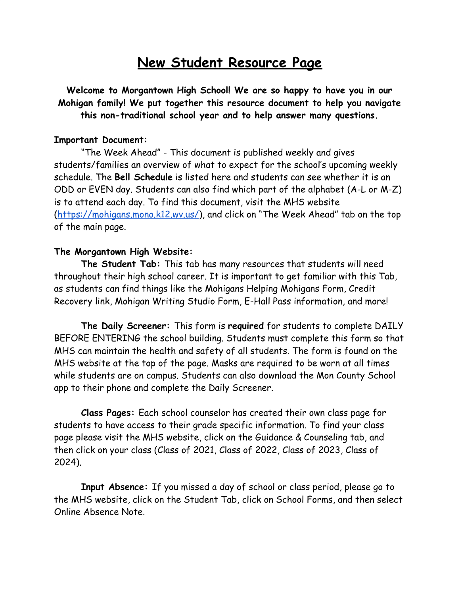# **New Student Resource Page**

**Welcome to Morgantown High School! We are so happy to have you in our Mohigan family! We put together this resource document to help you navigate this non-traditional school year and to help answer many questions.**

#### **Important Document:**

"The Week Ahead" - This document is published weekly and gives students/families an overview of what to expect for the school's upcoming weekly schedule. The **Bell Schedule** is listed here and students can see whether it is an ODD or EVEN day. Students can also find which part of the alphabet (A-L or M-Z) is to attend each day. To find this document, visit the MHS website [\(https://mohigans.mono.k12.wv.us/\)](https://mohigans.mono.k12.wv.us/), and click on "The Week Ahead" tab on the top of the main page.

#### **The Morgantown High Website:**

**The Student Tab:** This tab has many resources that students will need throughout their high school career. It is important to get familiar with this Tab, as students can find things like the Mohigans Helping Mohigans Form, Credit Recovery link, Mohigan Writing Studio Form, E-Hall Pass information, and more!

**The Daily Screener:** This form is **required** for students to complete DAILY BEFORE ENTERING the school building. Students must complete this form so that MHS can maintain the health and safety of all students. The form is found on the MHS website at the top of the page. Masks are required to be worn at all times while students are on campus. Students can also download the Mon County School app to their phone and complete the Daily Screener.

**Class Pages:** Each school counselor has created their own class page for students to have access to their grade specific information. To find your class page please visit the MHS website, click on the Guidance & Counseling tab, and then click on your class (Class of 2021, Class of 2022, Class of 2023, Class of 2024).

**Input Absence:** If you missed a day of school or class period, please go to the MHS website, click on the Student Tab, click on School Forms, and then select Online Absence Note.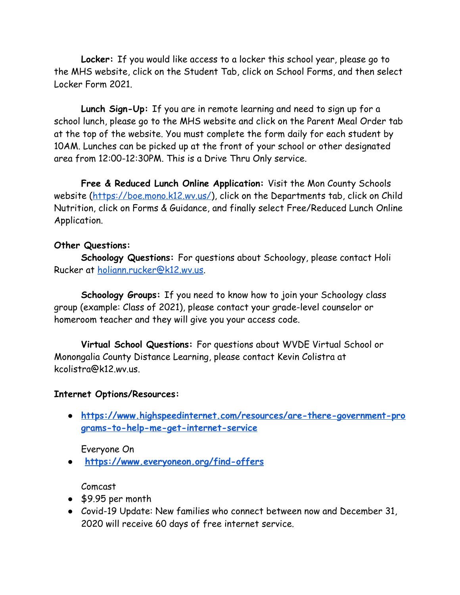**Locker:** If you would like access to a locker this school year, please go to the MHS website, click on the Student Tab, click on School Forms, and then select Locker Form 2021.

**Lunch Sign-Up:** If you are in remote learning and need to sign up for a school lunch, please go to the MHS website and click on the Parent Meal Order tab at the top of the website. You must complete the form daily for each student by 10AM. Lunches can be picked up at the front of your school or other designated area from 12:00-12:30PM. This is a Drive Thru Only service.

**Free & Reduced Lunch Online Application:** Visit the Mon County Schools website [\(https://boe.mono.k12.wv.us/](https://boe.mono.k12.wv.us/)), click on the Departments tab, click on Child Nutrition, click on Forms & Guidance, and finally select Free/Reduced Lunch Online Application.

## **Other Questions:**

**Schoology Questions:** For questions about Schoology, please contact Holi Rucker at [holiann.rucker@k12.wv.us.](mailto:holiann.rucker@k12.wv.us)

**Schoology Groups:** If you need to know how to join your Schoology class group (example: Class of 2021), please contact your grade-level counselor or homeroom teacher and they will give you your access code.

**Virtual School Questions:** For questions about WVDE Virtual School or Monongalia County Distance Learning, please contact Kevin Colistra at kcolistra@k12.wv.us.

### **Internet Options/Resources:**

**● [https://www.highspeedinternet.com/resources/are-there-government-pro](https://nam01.safelinks.protection.outlook.com/?url=https%3A%2F%2Fwww.highspeedinternet.com%2Fresources%2Fare-there-government-programs-to-help-me-get-internet-service&data=02%7C01%7Clauren.landry%40k12.wv.us%7Ca2ed7609e5fc44275f2608d854e81bf8%7Ce019b04b330c467a8bae09fb17374d6a%7C0%7C0%7C637352703156212440&sdata=0CnY%2FmoeWtYAFowmkMUIeMBmzCIuoB%2BRX9kzMQ1eRlo%3D&reserved=0) [grams-to-help-me-get-internet-service](https://nam01.safelinks.protection.outlook.com/?url=https%3A%2F%2Fwww.highspeedinternet.com%2Fresources%2Fare-there-government-programs-to-help-me-get-internet-service&data=02%7C01%7Clauren.landry%40k12.wv.us%7Ca2ed7609e5fc44275f2608d854e81bf8%7Ce019b04b330c467a8bae09fb17374d6a%7C0%7C0%7C637352703156212440&sdata=0CnY%2FmoeWtYAFowmkMUIeMBmzCIuoB%2BRX9kzMQ1eRlo%3D&reserved=0)**

Everyone On

**● [https://www.everyoneon.org/find-offers](https://nam01.safelinks.protection.outlook.com/?url=https%3A%2F%2Fwww.everyoneon.org%2Ffind-offers&data=02%7C01%7Clauren.landry%40k12.wv.us%7Ca2ed7609e5fc44275f2608d854e81bf8%7Ce019b04b330c467a8bae09fb17374d6a%7C0%7C0%7C637352703156212440&sdata=byB6VN%2F2CN1joq6WrAPLUHyqZwyPnqkXKlO1K2ySbvc%3D&reserved=0)**

Comcast

- \$9.95 per month
- Covid-19 Update: New families who connect between now and December 31, 2020 will receive 60 days of free internet service.